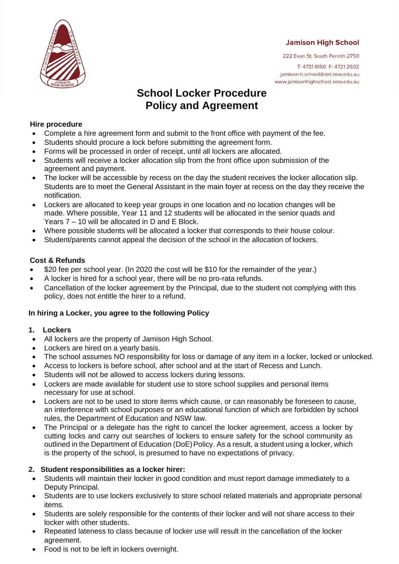**Jamison High School** 



222 Evan St, South Penrith 2750

T: 4731 6150 F: 4721 2502 jamison-h.school@det.nsw.edu.au www.jamisonhighschool.nsw.edu.au

# **School Locker Procedure Policy and Agreement**

# **Hire procedure**

- Complete a hire agreement form and submit to the front office with payment of the fee.
- Students should procure a lock before submitting the agreement form.
- Forms will be processed in order of receipt, until all lockers are allocated.
- Students will receive a locker allocation slip from the front office upon submission of the agreement and payment.
- The locker will be accessible by recess on the day the student receives the locker allocation slip. Students are to meet the General Assistant in the main foyer at recess on the day they receive the notification.
- Lockers are allocated to keep year groups in one location and no location changes will be made. Where possible, Year 11 and 12 students will be allocated in the senior quads and Years 7 – 10 will be allocated in D and E Block.
- Where possible students will be allocated a locker that corresponds to their house colour.
- Student/parents cannot appeal the decision of the school in the allocation of lockers.

# **Cost & Refunds**

- \$20 fee per school year. (In 2020 the cost will be \$10 for the remainder of the year.)
- A locker is hired for a school year, there will be no pro-rata refunds.
- Cancellation of the locker agreement by the Principal, due to the student not complying with this policy, does not entitle the hirer to a refund.

# **In hiring a Locker, you agree to the following Policy**

# **1. Lockers**

- All lockers are the property of Jamison High School.
- Lockers are hired on a yearly basis.
- The school assumes NO responsibility for loss or damage of any item in a locker, locked or unlocked.
- Access to lockers is before school, after school and at the start of Recess and Lunch.
- Students will not be allowed to access lockers during lessons.
- Lockers are made available for student use to store school supplies and personal items necessary for use at school.
- Lockers are not to be used to store items which cause, or can reasonably be foreseen to cause, an interference with school purposes or an educational function of which are forbidden by school rules, the Department of Education and NSW law.
- The Principal or a delegate has the right to cancel the locker agreement, access a locker by cutting locks and carry out searches of lockers to ensure safety for the school community as outlined in the Department of Education (DoE)Policy. As a result, a student using a locker, which is the property of the school, is presumed to have no expectations of privacy.

# **2. Student responsibilities as a locker hirer:**

- Students will maintain their locker in good condition and must report damage immediately to a Deputy Principal.
- Students are to use lockers exclusively to store school related materials and appropriate personal items.
- Students are solely responsible for the contents of their locker and will not share access to their locker with other students.
- Repeated lateness to class because of locker use will result in the cancellation of the locker agreement.
- Food is not to be left in lockers overnight.